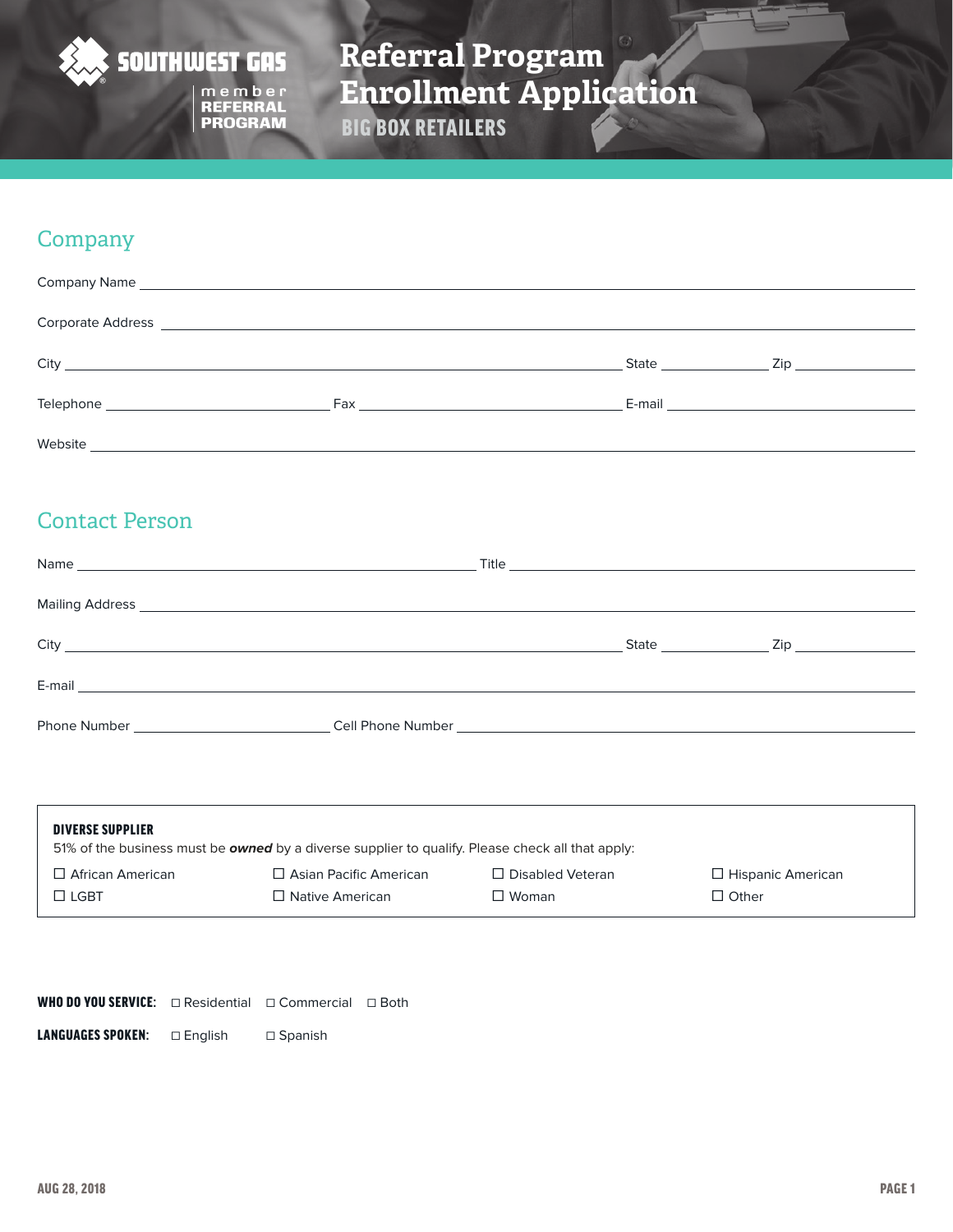

# **Referral Program Enrollment Application** BIG BOX RETAILERS

## **Company**

|                                                                                                                                                                                                                                | State ______________ | $\mathsf{Zip} \hspace{0.1cm} \longrightarrow$ |
|--------------------------------------------------------------------------------------------------------------------------------------------------------------------------------------------------------------------------------|----------------------|-----------------------------------------------|
| Fax and the state of the state of the state of the state of the state of the state of the state of the state of the state of the state of the state of the state of the state of the state of the state of the state of the st |                      |                                               |
|                                                                                                                                                                                                                                |                      |                                               |

## Contact Person

| City <u>superior and the second second second second second second second second second second second second second second second second second second second second second second second second second second second second sec</u> | State <b>State State State State State State State State State State State</b> |  |
|--------------------------------------------------------------------------------------------------------------------------------------------------------------------------------------------------------------------------------------|--------------------------------------------------------------------------------|--|
|                                                                                                                                                                                                                                      |                                                                                |  |
|                                                                                                                                                                                                                                      |                                                                                |  |
|                                                                                                                                                                                                                                      |                                                                                |  |
| Phone Number <b>Example 20</b>                                                                                                                                                                                                       |                                                                                |  |
|                                                                                                                                                                                                                                      |                                                                                |  |

| <b>DIVERSE SUPPLIER</b> | 51% of the business must be <b>owned</b> by a diverse supplier to qualify. Please check all that apply: |                         |                          |
|-------------------------|---------------------------------------------------------------------------------------------------------|-------------------------|--------------------------|
| $\Box$ African American | $\Box$ Asian Pacific American                                                                           | $\Box$ Disabled Veteran | $\Box$ Hispanic American |
| ∃ I GBT                 | $\Box$ Native American                                                                                  | $\Box$ Woman            | $\Box$ Other             |

| <b>WHO DO YOU SERVICE:</b> $\Box$ Residential $\Box$ Commercial $\Box$ Both |           |                |  |
|-----------------------------------------------------------------------------|-----------|----------------|--|
| <b>LANGUAGES SPOKEN:</b>                                                    | □ Enalish | $\Box$ Spanish |  |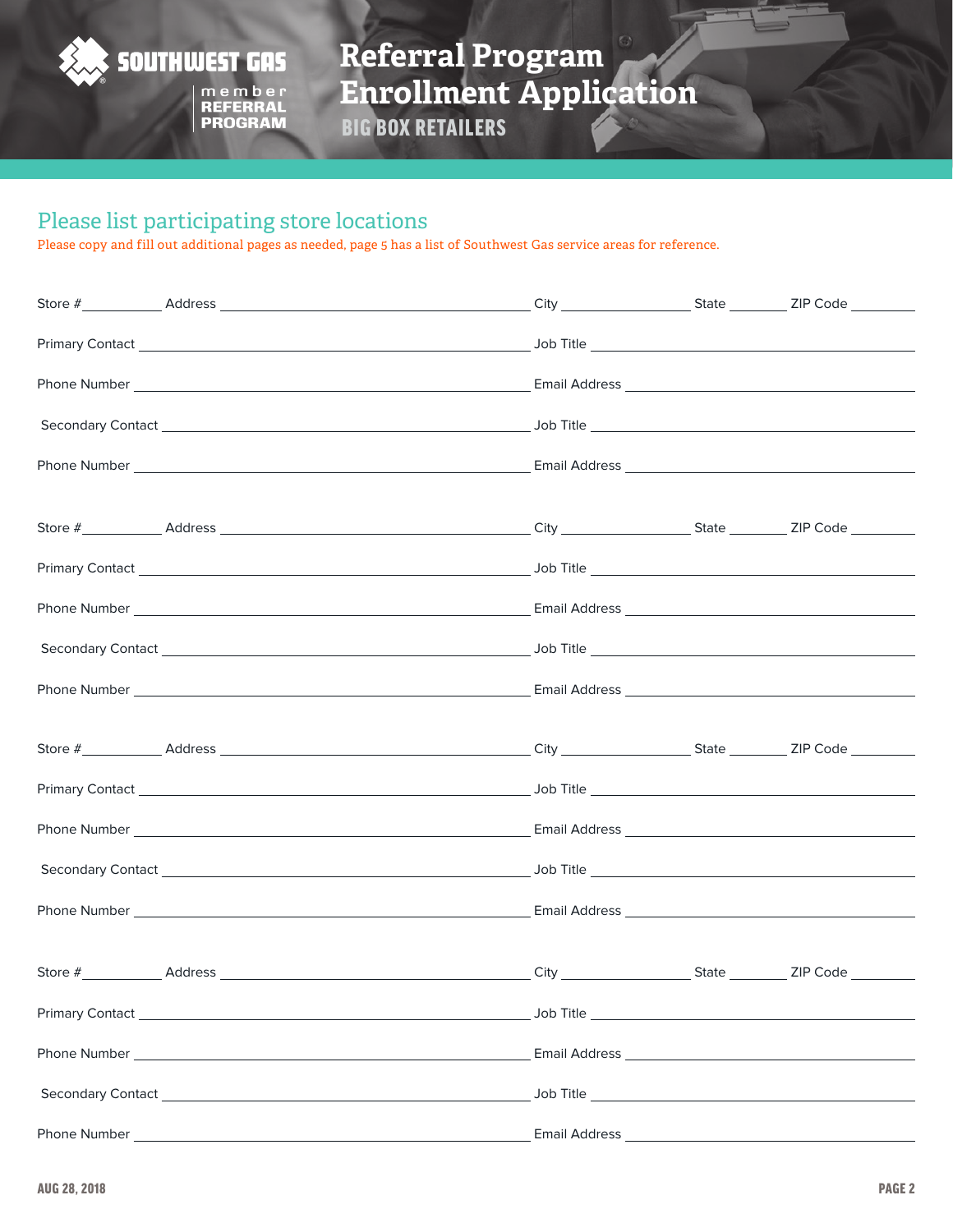

**Referral Program Enrollment Application**

BIG BOX RETAILERS

### Please list participating store locations

Please copy and fill out additional pages as needed, page 5 has a list of Southwest Gas service areas for reference.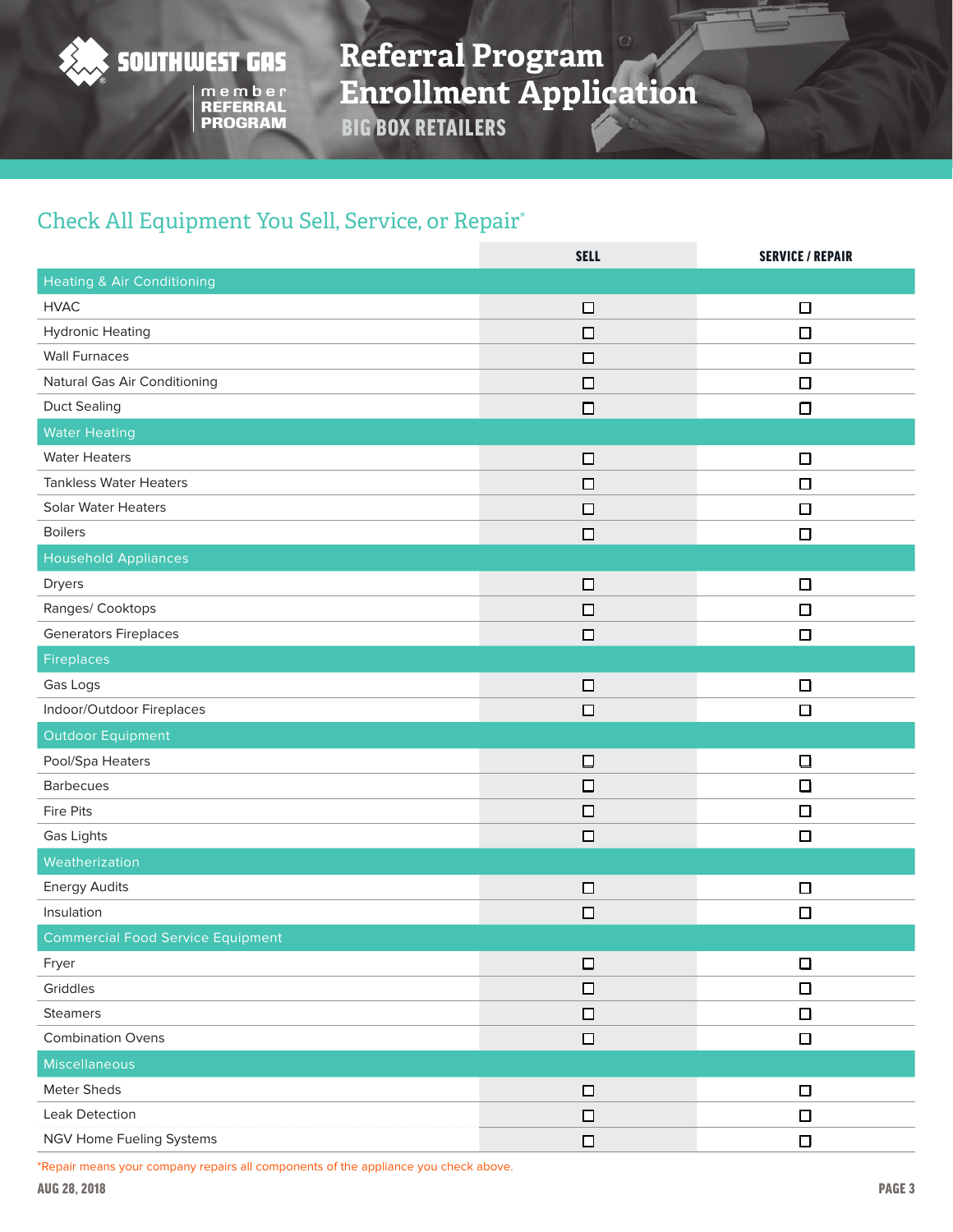

**Referral Program Enrollment Application**

BIG BOX RETAILERS

## Check All Equipment You Sell, Service, or Repair\*

|                                          | <b>SELL</b> | <b>SERVICE / REPAIR</b> |
|------------------------------------------|-------------|-------------------------|
| <b>Heating &amp; Air Conditioning</b>    |             |                         |
| <b>HVAC</b>                              | $\Box$      | $\Box$                  |
| <b>Hydronic Heating</b>                  | $\Box$      | $\Box$                  |
| <b>Wall Furnaces</b>                     | $\Box$      | $\Box$                  |
| Natural Gas Air Conditioning             | $\Box$      | $\Box$                  |
| <b>Duct Sealing</b>                      | $\Box$      | $\Box$                  |
| <b>Water Heating</b>                     |             |                         |
| <b>Water Heaters</b>                     | $\Box$      | $\Box$                  |
| <b>Tankless Water Heaters</b>            | $\Box$      | $\Box$                  |
| <b>Solar Water Heaters</b>               | $\Box$      | $\Box$                  |
| <b>Boilers</b>                           | $\Box$      | $\Box$                  |
| <b>Household Appliances</b>              |             |                         |
| Dryers                                   | $\Box$      | $\Box$                  |
| Ranges/ Cooktops                         | $\Box$      | $\Box$                  |
| <b>Generators Fireplaces</b>             | $\Box$      | $\Box$                  |
| Fireplaces                               |             |                         |
| Gas Logs                                 | $\Box$      | $\Box$                  |
| Indoor/Outdoor Fireplaces                | $\Box$      | $\Box$                  |
| <b>Outdoor Equipment</b>                 |             |                         |
| Pool/Spa Heaters                         | □           | $\Box$                  |
| <b>Barbecues</b>                         | $\Box$      | $\Box$                  |
| <b>Fire Pits</b>                         | $\Box$      | $\Box$                  |
| Gas Lights                               | $\Box$      | $\Box$                  |
| Weatherization                           |             |                         |
| <b>Energy Audits</b>                     | $\Box$      | $\Box$                  |
| Insulation                               | $\Box$      | $\Box$                  |
| <b>Commercial Food Service Equipment</b> |             |                         |
| Fryer                                    | $\Box$      | $\Box$                  |
| Griddles                                 | $\Box$      | $\Box$                  |
| <b>Steamers</b>                          | $\Box$      | $\Box$                  |
| <b>Combination Ovens</b>                 | $\Box$      | $\Box$                  |
| Miscellaneous                            |             |                         |
| Meter Sheds                              | $\Box$      | $\Box$                  |
| Leak Detection                           | $\Box$      | $\Box$                  |
| NGV Home Fueling Systems                 | $\Box$      | $\Box$                  |

\*Repair means your company repairs all components of the appliance you check above.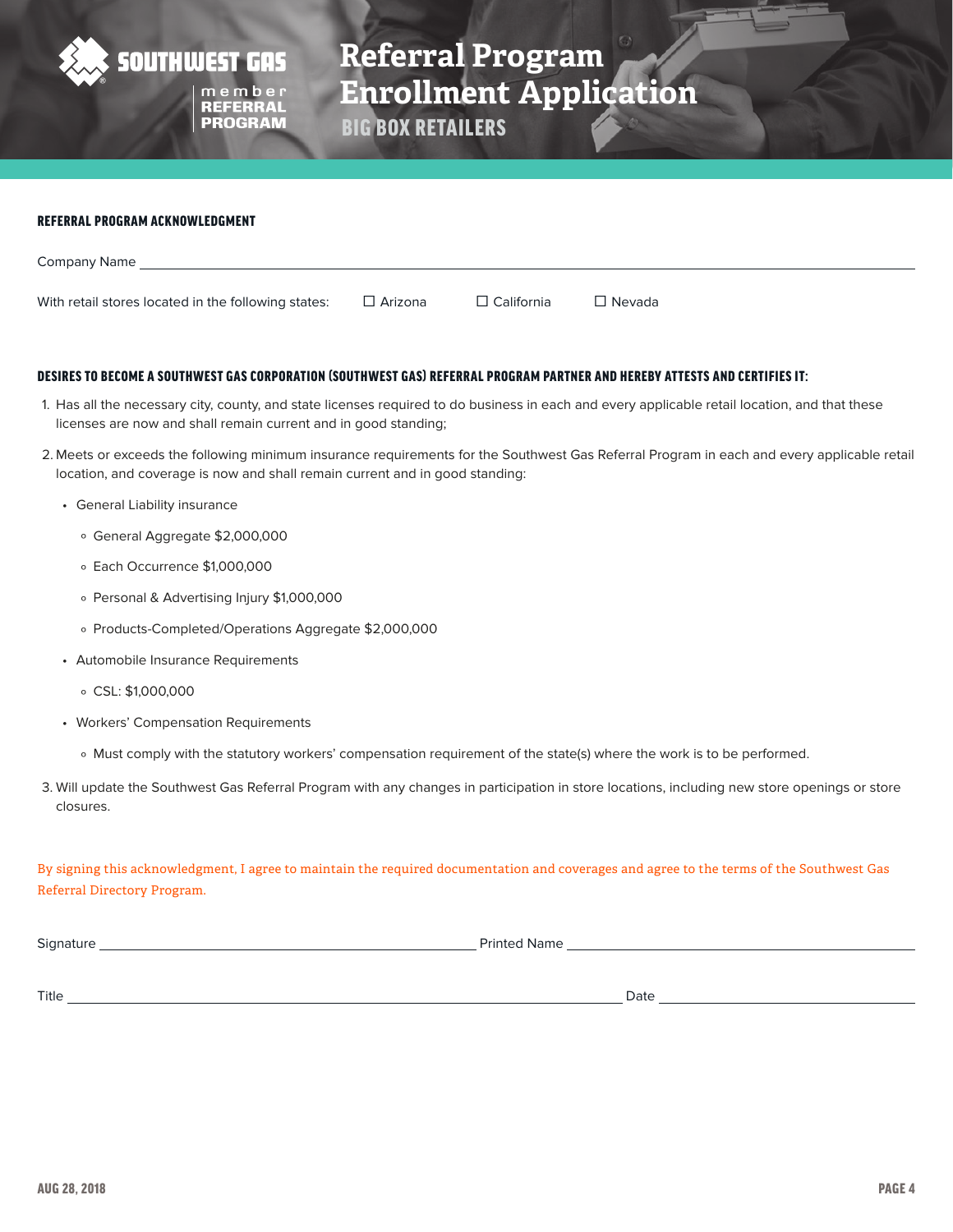

**Referral Program Enrollment Application REFERRAL**<br>PROGRAM

BIG BOX RETAILERS

#### REFERRAL PROGRAM ACKNOWLEDGMENT

| Company Name                                        |                |                   |               |
|-----------------------------------------------------|----------------|-------------------|---------------|
|                                                     |                |                   |               |
| With retail stores located in the following states: | $\Box$ Arizona | $\Box$ California | $\Box$ Nevada |

#### DESIRES TO BECOME A SOUTHWEST GAS CORPORATION (SOUTHWEST GAS) REFERRAL PROGRAM PARTNER AND HEREBY ATTESTS AND CERTIFIES IT:

- 1. Has all the necessary city, county, and state licenses required to do business in each and every applicable retail location, and that these licenses are now and shall remain current and in good standing;
- 2. Meets or exceeds the following minimum insurance requirements for the Southwest Gas Referral Program in each and every applicable retail location, and coverage is now and shall remain current and in good standing:
	- General Liability insurance
		- º General Aggregate \$2,000,000
		- º Each Occurrence \$1,000,000
		- º Personal & Advertising Injury \$1,000,000
		- º Products-Completed/Operations Aggregate \$2,000,000
	- Automobile Insurance Requirements
		- º CSL: \$1,000,000
	- Workers' Compensation Requirements
		- º Must comply with the statutory workers' compensation requirement of the state(s) where the work is to be performed.
- 3. Will update the Southwest Gas Referral Program with any changes in participation in store locations, including new store openings or store closures.

By signing this acknowledgment, I agree to maintain the required documentation and coverages and agree to the terms of the Southwest Gas Referral Directory Program.

| $\sim$ $\sim$<br>Sianatu | فتعالىف |  |
|--------------------------|---------|--|
|                          |         |  |

Title Date